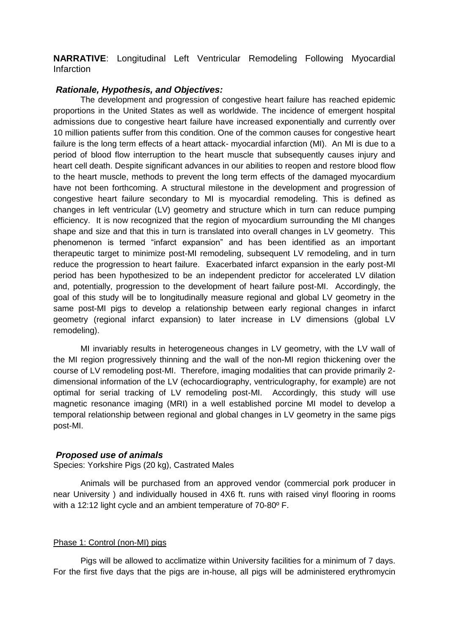**NARRATIVE**: Longitudinal Left Ventricular Remodeling Following Myocardial Infarction

## *Rationale, Hypothesis, and Objectives:*

The development and progression of congestive heart failure has reached epidemic proportions in the United States as well as worldwide. The incidence of emergent hospital admissions due to congestive heart failure have increased exponentially and currently over 10 million patients suffer from this condition. One of the common causes for congestive heart failure is the long term effects of a heart attack- myocardial infarction (MI). An MI is due to a period of blood flow interruption to the heart muscle that subsequently causes injury and heart cell death. Despite significant advances in our abilities to reopen and restore blood flow to the heart muscle, methods to prevent the long term effects of the damaged myocardium have not been forthcoming. A structural milestone in the development and progression of congestive heart failure secondary to MI is myocardial remodeling. This is defined as changes in left ventricular (LV) geometry and structure which in turn can reduce pumping efficiency. It is now recognized that the region of myocardium surrounding the MI changes shape and size and that this in turn is translated into overall changes in LV geometry. This phenomenon is termed "infarct expansion" and has been identified as an important therapeutic target to minimize post-MI remodeling, subsequent LV remodeling, and in turn reduce the progression to heart failure. Exacerbated infarct expansion in the early post-MI period has been hypothesized to be an independent predictor for accelerated LV dilation and, potentially, progression to the development of heart failure post-MI. Accordingly, the goal of this study will be to longitudinally measure regional and global LV geometry in the same post-MI pigs to develop a relationship between early regional changes in infarct geometry (regional infarct expansion) to later increase in LV dimensions (global LV remodeling).

MI invariably results in heterogeneous changes in LV geometry, with the LV wall of the MI region progressively thinning and the wall of the non-MI region thickening over the course of LV remodeling post-MI. Therefore, imaging modalities that can provide primarily 2 dimensional information of the LV (echocardiography, ventriculography, for example) are not optimal for serial tracking of LV remodeling post-MI. Accordingly, this study will use magnetic resonance imaging (MRI) in a well established porcine MI model to develop a temporal relationship between regional and global changes in LV geometry in the same pigs post-MI.

## *Proposed use of animals*

Species: Yorkshire Pigs (20 kg), Castrated Males

Animals will be purchased from an approved vendor (commercial pork producer in near University ) and individually housed in 4X6 ft. runs with raised vinyl flooring in rooms with a 12:12 light cycle and an ambient temperature of 70-80º F.

## Phase 1: Control (non-MI) pigs

Pigs will be allowed to acclimatize within University facilities for a minimum of 7 days. For the first five days that the pigs are in-house, all pigs will be administered erythromycin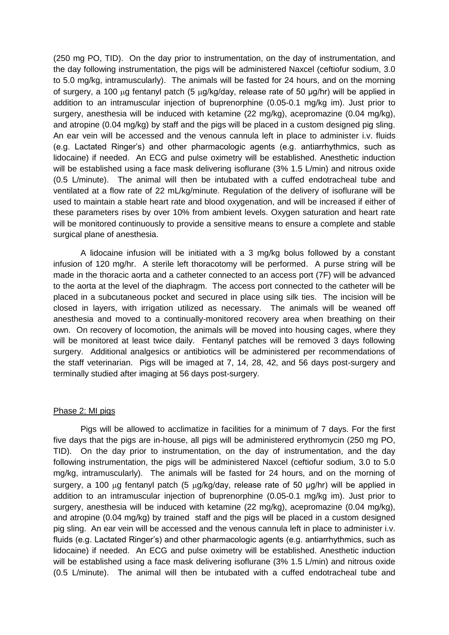(250 mg PO, TID). On the day prior to instrumentation, on the day of instrumentation, and the day following instrumentation, the pigs will be administered Naxcel (ceftiofur sodium, 3.0 to 5.0 mg/kg, intramuscularly). The animals will be fasted for 24 hours, and on the morning of surgery, a 100  $\mu$ g fentanyl patch (5  $\mu$ g/kg/day, release rate of 50  $\mu$ g/hr) will be applied in addition to an intramuscular injection of buprenorphine (0.05-0.1 mg/kg im). Just prior to surgery, anesthesia will be induced with ketamine (22 mg/kg), acepromazine (0.04 mg/kg), and atropine (0.04 mg/kg) by staff and the pigs will be placed in a custom designed pig sling. An ear vein will be accessed and the venous cannula left in place to administer i.v. fluids (e.g. Lactated Ringer's) and other pharmacologic agents (e.g. antiarrhythmics, such as lidocaine) if needed. An ECG and pulse oximetry will be established. Anesthetic induction will be established using a face mask delivering isoflurane (3% 1.5 L/min) and nitrous oxide (0.5 L/minute). The animal will then be intubated with a cuffed endotracheal tube and ventilated at a flow rate of 22 mL/kg/minute. Regulation of the delivery of isoflurane will be used to maintain a stable heart rate and blood oxygenation, and will be increased if either of these parameters rises by over 10% from ambient levels. Oxygen saturation and heart rate will be monitored continuously to provide a sensitive means to ensure a complete and stable surgical plane of anesthesia.

A lidocaine infusion will be initiated with a 3 mg/kg bolus followed by a constant infusion of 120 mg/hr. A sterile left thoracotomy will be performed. A purse string will be made in the thoracic aorta and a catheter connected to an access port (7F) will be advanced to the aorta at the level of the diaphragm. The access port connected to the catheter will be placed in a subcutaneous pocket and secured in place using silk ties. The incision will be closed in layers, with irrigation utilized as necessary. The animals will be weaned off anesthesia and moved to a continually-monitored recovery area when breathing on their own. On recovery of locomotion, the animals will be moved into housing cages, where they will be monitored at least twice daily. Fentanyl patches will be removed 3 days following surgery. Additional analgesics or antibiotics will be administered per recommendations of the staff veterinarian. Pigs will be imaged at 7, 14, 28, 42, and 56 days post-surgery and terminally studied after imaging at 56 days post-surgery.

### Phase 2: MI pigs

Pigs will be allowed to acclimatize in facilities for a minimum of 7 days. For the first five days that the pigs are in-house, all pigs will be administered erythromycin (250 mg PO, TID). On the day prior to instrumentation, on the day of instrumentation, and the day following instrumentation, the pigs will be administered Naxcel (ceftiofur sodium, 3.0 to 5.0 mg/kg, intramuscularly). The animals will be fasted for 24 hours, and on the morning of surgery, a 100  $\mu$ g fentanyl patch (5  $\mu$ g/kg/day, release rate of 50  $\mu$ g/hr) will be applied in addition to an intramuscular injection of buprenorphine (0.05-0.1 mg/kg im). Just prior to surgery, anesthesia will be induced with ketamine (22 mg/kg), acepromazine (0.04 mg/kg), and atropine (0.04 mg/kg) by trained staff and the pigs will be placed in a custom designed pig sling. An ear vein will be accessed and the venous cannula left in place to administer i.v. fluids (e.g. Lactated Ringer's) and other pharmacologic agents (e.g. antiarrhythmics, such as lidocaine) if needed. An ECG and pulse oximetry will be established. Anesthetic induction will be established using a face mask delivering isoflurane (3% 1.5 L/min) and nitrous oxide (0.5 L/minute). The animal will then be intubated with a cuffed endotracheal tube and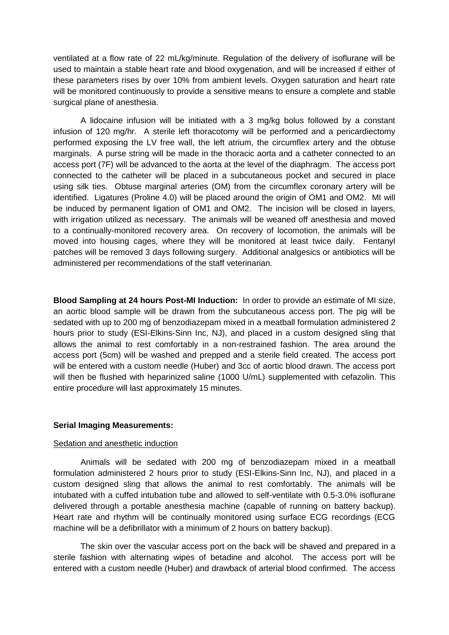ventilated at a flow rate of 22 mL/kg/minute. Regulation of the delivery of isoflurane will be used to maintain a stable heart rate and blood oxygenation, and will be increased if either of these parameters rises by over 10% from ambient levels. Oxygen saturation and heart rate will be monitored continuously to provide a sensitive means to ensure a complete and stable surgical plane of anesthesia.

A lidocaine infusion will be initiated with a 3 mg/kg bolus followed by a constant infusion of 120 mg/hr. A sterile left thoracotomy will be performed and a pericardiectomy performed exposing the LV free wall, the left atrium, the circumflex artery and the obtuse marginals. A purse string will be made in the thoracic aorta and a catheter connected to an access port (7F) will be advanced to the aorta at the level of the diaphragm. The access port connected to the catheter will be placed in a subcutaneous pocket and secured in place using silk ties. Obtuse marginal arteries (OM) from the circumflex coronary artery will be identified. Ligatures (Proline 4.0) will be placed around the origin of OM1 and OM2. MI will be induced by permanent ligation of OM1 and OM2. The incision will be closed in layers, with irrigation utilized as necessary. The animals will be weaned off anesthesia and moved to a continually-monitored recovery area. On recovery of locomotion, the animals will be moved into housing cages, where they will be monitored at least twice daily. Fentanyl patches will be removed 3 days following surgery. Additional analgesics or antibiotics will be administered per recommendations of the staff veterinarian.

**Blood Sampling at 24 hours Post-MI Induction:** In order to provide an estimate of MI size, an aortic blood sample will be drawn from the subcutaneous access port. The pig will be sedated with up to 200 mg of benzodiazepam mixed in a meatball formulation administered 2 hours prior to study (ESI-Elkins-Sinn Inc, NJ), and placed in a custom designed sling that allows the animal to rest comfortably in a non-restrained fashion. The area around the access port (5cm) will be washed and prepped and a sterile field created. The access port will be entered with a custom needle (Huber) and 3cc of aortic blood drawn. The access port will then be flushed with heparinized saline (1000 U/mL) supplemented with cefazolin. This entire procedure will last approximately 15 minutes.

### **Serial Imaging Measurements:**

### Sedation and anesthetic induction

Animals will be sedated with 200 mg of benzodiazepam mixed in a meatball formulation administered 2 hours prior to study (ESI-Elkins-Sinn Inc, NJ), and placed in a custom designed sling that allows the animal to rest comfortably. The animals will be intubated with a cuffed intubation tube and allowed to self-ventilate with 0.5-3.0% isoflurane delivered through a portable anesthesia machine (capable of running on battery backup). Heart rate and rhythm will be continually monitored using surface ECG recordings (ECG machine will be a defibrillator with a minimum of 2 hours on battery backup).

The skin over the vascular access port on the back will be shaved and prepared in a sterile fashion with alternating wipes of betadine and alcohol. The access port will be entered with a custom needle (Huber) and drawback of arterial blood confirmed. The access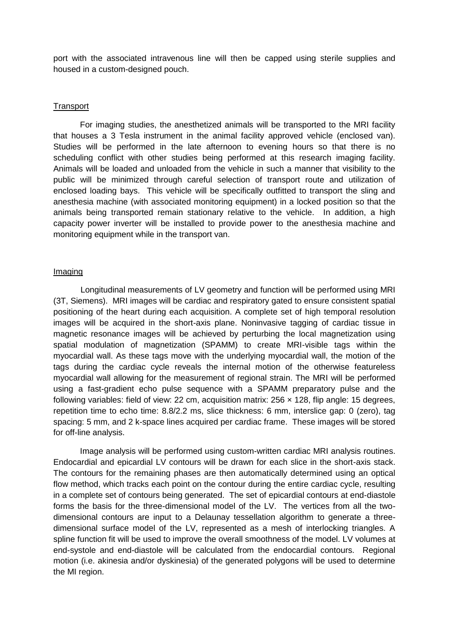port with the associated intravenous line will then be capped using sterile supplies and housed in a custom-designed pouch.

## **Transport**

For imaging studies, the anesthetized animals will be transported to the MRI facility that houses a 3 Tesla instrument in the animal facility approved vehicle (enclosed van). Studies will be performed in the late afternoon to evening hours so that there is no scheduling conflict with other studies being performed at this research imaging facility. Animals will be loaded and unloaded from the vehicle in such a manner that visibility to the public will be minimized through careful selection of transport route and utilization of enclosed loading bays. This vehicle will be specifically outfitted to transport the sling and anesthesia machine (with associated monitoring equipment) in a locked position so that the animals being transported remain stationary relative to the vehicle. In addition, a high capacity power inverter will be installed to provide power to the anesthesia machine and monitoring equipment while in the transport van.

## Imaging

Longitudinal measurements of LV geometry and function will be performed using MRI (3T, Siemens). MRI images will be cardiac and respiratory gated to ensure consistent spatial positioning of the heart during each acquisition. A complete set of high temporal resolution images will be acquired in the short-axis plane. Noninvasive tagging of cardiac tissue in magnetic resonance images will be achieved by perturbing the local magnetization using spatial modulation of magnetization (SPAMM) to create MRI-visible tags within the myocardial wall. As these tags move with the underlying myocardial wall, the motion of the tags during the cardiac cycle reveals the internal motion of the otherwise featureless myocardial wall allowing for the measurement of regional strain. The MRI will be performed using a fast-gradient echo pulse sequence with a SPAMM preparatory pulse and the following variables: field of view: 22 cm, acquisition matrix:  $256 \times 128$ , flip angle: 15 degrees, repetition time to echo time: 8.8/2.2 ms, slice thickness: 6 mm, interslice gap: 0 (zero), tag spacing: 5 mm, and 2 k-space lines acquired per cardiac frame. These images will be stored for off-line analysis.

Image analysis will be performed using custom-written cardiac MRI analysis routines. Endocardial and epicardial LV contours will be drawn for each slice in the short-axis stack. The contours for the remaining phases are then automatically determined using an optical flow method, which tracks each point on the contour during the entire cardiac cycle, resulting in a complete set of contours being generated. The set of epicardial contours at end-diastole forms the basis for the three-dimensional model of the LV. The vertices from all the twodimensional contours are input to a Delaunay tessellation algorithm to generate a threedimensional surface model of the LV, represented as a mesh of interlocking triangles. A spline function fit will be used to improve the overall smoothness of the model. LV volumes at end-systole and end-diastole will be calculated from the endocardial contours. Regional motion (i.e. akinesia and/or dyskinesia) of the generated polygons will be used to determine the MI region.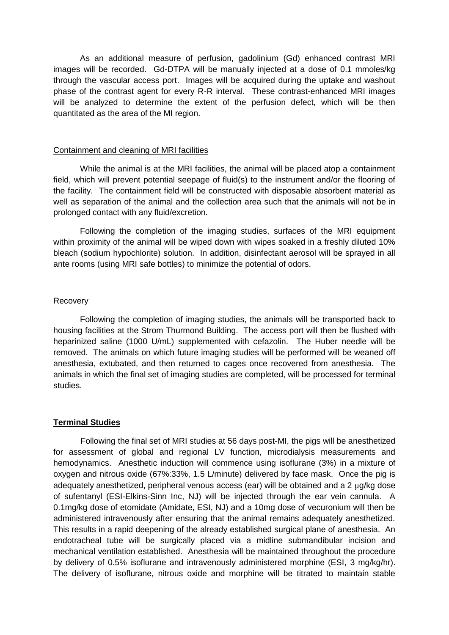As an additional measure of perfusion, gadolinium (Gd) enhanced contrast MRI images will be recorded. Gd-DTPA will be manually injected at a dose of 0.1 mmoles/kg through the vascular access port. Images will be acquired during the uptake and washout phase of the contrast agent for every R-R interval. These contrast-enhanced MRI images will be analyzed to determine the extent of the perfusion defect, which will be then quantitated as the area of the MI region.

### Containment and cleaning of MRI facilities

While the animal is at the MRI facilities, the animal will be placed atop a containment field, which will prevent potential seepage of fluid(s) to the instrument and/or the flooring of the facility. The containment field will be constructed with disposable absorbent material as well as separation of the animal and the collection area such that the animals will not be in prolonged contact with any fluid/excretion.

Following the completion of the imaging studies, surfaces of the MRI equipment within proximity of the animal will be wiped down with wipes soaked in a freshly diluted 10% bleach (sodium hypochlorite) solution. In addition, disinfectant aerosol will be sprayed in all ante rooms (using MRI safe bottles) to minimize the potential of odors.

## Recovery

Following the completion of imaging studies, the animals will be transported back to housing facilities at the Strom Thurmond Building. The access port will then be flushed with heparinized saline (1000 U/mL) supplemented with cefazolin. The Huber needle will be removed. The animals on which future imaging studies will be performed will be weaned off anesthesia, extubated, and then returned to cages once recovered from anesthesia. The animals in which the final set of imaging studies are completed, will be processed for terminal studies.

## **Terminal Studies**

Following the final set of MRI studies at 56 days post-MI, the pigs will be anesthetized for assessment of global and regional LV function, microdialysis measurements and hemodynamics. Anesthetic induction will commence using isoflurane (3%) in a mixture of oxygen and nitrous oxide (67%:33%, 1.5 L/minute) delivered by face mask. Once the pig is adequately anesthetized, peripheral venous access (ear) will be obtained and a 2  $\mu$ q/kg dose of sufentanyl (ESI-Elkins-Sinn Inc, NJ) will be injected through the ear vein cannula. A 0.1mg/kg dose of etomidate (Amidate, ESI, NJ) and a 10mg dose of vecuronium will then be administered intravenously after ensuring that the animal remains adequately anesthetized. This results in a rapid deepening of the already established surgical plane of anesthesia. An endotracheal tube will be surgically placed via a midline submandibular incision and mechanical ventilation established. Anesthesia will be maintained throughout the procedure by delivery of 0.5% isoflurane and intravenously administered morphine (ESI, 3 mg/kg/hr). The delivery of isoflurane, nitrous oxide and morphine will be titrated to maintain stable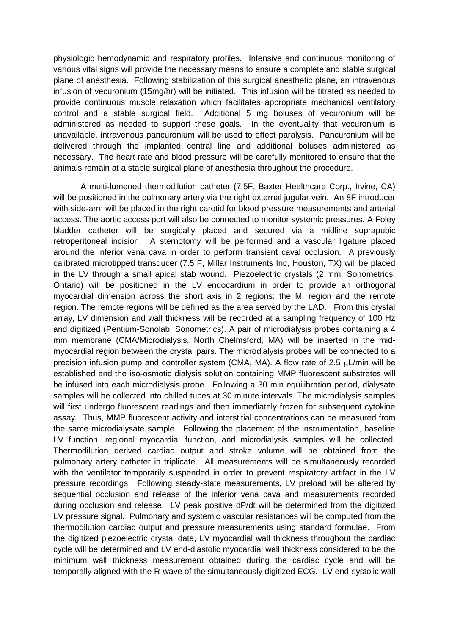physiologic hemodynamic and respiratory profiles. Intensive and continuous monitoring of various vital signs will provide the necessary means to ensure a complete and stable surgical plane of anesthesia. Following stabilization of this surgical anesthetic plane, an intravenous infusion of vecuronium (15mg/hr) will be initiated. This infusion will be titrated as needed to provide continuous muscle relaxation which facilitates appropriate mechanical ventilatory control and a stable surgical field. Additional 5 mg boluses of vecuronium will be administered as needed to support these goals. In the eventuality that vecuronium is unavailable, intravenous pancuronium will be used to effect paralysis. Pancuronium will be delivered through the implanted central line and additional boluses administered as necessary. The heart rate and blood pressure will be carefully monitored to ensure that the animals remain at a stable surgical plane of anesthesia throughout the procedure.

A multi-lumened thermodilution catheter (7.5F, Baxter Healthcare Corp., Irvine, CA) will be positioned in the pulmonary artery via the right external jugular vein. An 8F introducer with side-arm will be placed in the right carotid for blood pressure measurements and arterial access. The aortic access port will also be connected to monitor systemic pressures. A Foley bladder catheter will be surgically placed and secured via a midline suprapubic retroperitoneal incision. A sternotomy will be performed and a vascular ligature placed around the inferior vena cava in order to perform transient caval occlusion. A previously calibrated microtipped transducer (7.5 F, Millar Instruments Inc, Houston, TX) will be placed in the LV through a small apical stab wound. Piezoelectric crystals (2 mm, Sonometrics, Ontario) will be positioned in the LV endocardium in order to provide an orthogonal myocardial dimension across the short axis in 2 regions: the MI region and the remote region. The remote regions will be defined as the area served by the LAD. From this crystal array, LV dimension and wall thickness will be recorded at a sampling frequency of 100 Hz and digitized (Pentium-Sonolab, Sonometrics). A pair of microdialysis probes containing a 4 mm membrane (CMA/Microdialysis, North Chelmsford, MA) will be inserted in the midmyocardial region between the crystal pairs. The microdialysis probes will be connected to a precision infusion pump and controller system (CMA, MA). A flow rate of 2.5  $\mu$ L/min will be established and the iso-osmotic dialysis solution containing MMP fluorescent substrates will be infused into each microdialysis probe. Following a 30 min equilibration period, dialysate samples will be collected into chilled tubes at 30 minute intervals. The microdialysis samples will first undergo fluorescent readings and then immediately frozen for subsequent cytokine assay. Thus, MMP fluorescent activity and interstitial concentrations can be measured from the same microdialysate sample. Following the placement of the instrumentation, baseline LV function, regional myocardial function, and microdialysis samples will be collected. Thermodilution derived cardiac output and stroke volume will be obtained from the pulmonary artery catheter in triplicate. All measurements will be simultaneously recorded with the ventilator temporarily suspended in order to prevent respiratory artifact in the LV pressure recordings. Following steady-state measurements, LV preload will be altered by sequential occlusion and release of the inferior vena cava and measurements recorded during occlusion and release. LV peak positive dP/dt will be determined from the digitized LV pressure signal. Pulmonary and systemic vascular resistances will be computed from the thermodilution cardiac output and pressure measurements using standard formulae. From the digitized piezoelectric crystal data, LV myocardial wall thickness throughout the cardiac cycle will be determined and LV end-diastolic myocardial wall thickness considered to be the minimum wall thickness measurement obtained during the cardiac cycle and will be temporally aligned with the R-wave of the simultaneously digitized ECG. LV end-systolic wall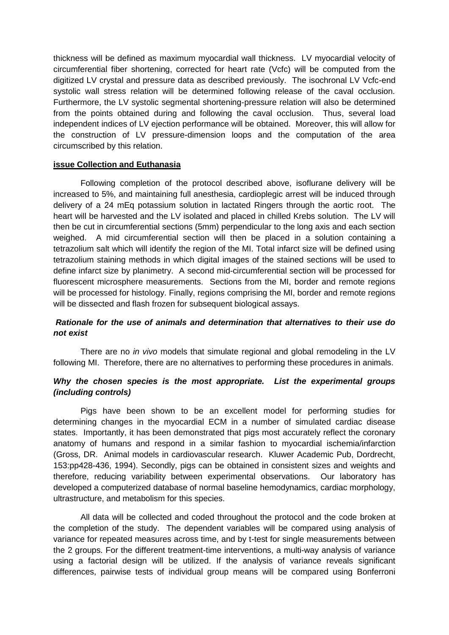thickness will be defined as maximum myocardial wall thickness. LV myocardial velocity of circumferential fiber shortening, corrected for heart rate (Vcfc) will be computed from the digitized LV crystal and pressure data as described previously. The isochronal LV Vcfc-end systolic wall stress relation will be determined following release of the caval occlusion. Furthermore, the LV systolic segmental shortening-pressure relation will also be determined from the points obtained during and following the caval occlusion. Thus, several load independent indices of LV ejection performance will be obtained. Moreover, this will allow for the construction of LV pressure-dimension loops and the computation of the area circumscribed by this relation.

## **issue Collection and Euthanasia**

Following completion of the protocol described above, isoflurane delivery will be increased to 5%, and maintaining full anesthesia, cardioplegic arrest will be induced through delivery of a 24 mEq potassium solution in lactated Ringers through the aortic root. The heart will be harvested and the LV isolated and placed in chilled Krebs solution. The LV will then be cut in circumferential sections (5mm) perpendicular to the long axis and each section weighed. A mid circumferential section will then be placed in a solution containing a tetrazolium salt which will identify the region of the MI. Total infarct size will be defined using tetrazolium staining methods in which digital images of the stained sections will be used to define infarct size by planimetry. A second mid-circumferential section will be processed for fluorescent microsphere measurements. Sections from the MI, border and remote regions will be processed for histology. Finally, regions comprising the MI, border and remote regions will be dissected and flash frozen for subsequent biological assays.

# *Rationale for the use of animals and determination that alternatives to their use do not exist*

There are no *in vivo* models that simulate regional and global remodeling in the LV following MI. Therefore, there are no alternatives to performing these procedures in animals.

## *Why the chosen species is the most appropriate. List the experimental groups (including controls)*

Pigs have been shown to be an excellent model for performing studies for determining changes in the myocardial ECM in a number of simulated cardiac disease states. Importantly, it has been demonstrated that pigs most accurately reflect the coronary anatomy of humans and respond in a similar fashion to myocardial ischemia/infarction (Gross, DR. Animal models in cardiovascular research. Kluwer Academic Pub, Dordrecht, 153:pp428-436, 1994). Secondly, pigs can be obtained in consistent sizes and weights and therefore, reducing variability between experimental observations. Our laboratory has developed a computerized database of normal baseline hemodynamics, cardiac morphology, ultrastructure, and metabolism for this species.

All data will be collected and coded throughout the protocol and the code broken at the completion of the study. The dependent variables will be compared using analysis of variance for repeated measures across time, and by t-test for single measurements between the 2 groups. For the different treatment-time interventions, a multi-way analysis of variance using a factorial design will be utilized. If the analysis of variance reveals significant differences, pairwise tests of individual group means will be compared using Bonferroni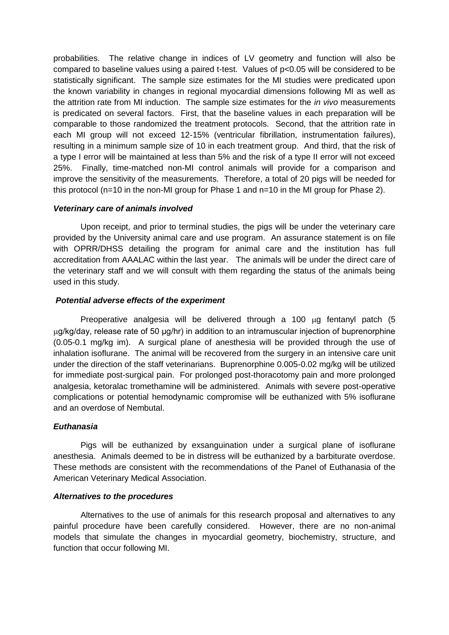probabilities. The relative change in indices of LV geometry and function will also be compared to baseline values using a paired t-test. Values of p<0.05 will be considered to be statistically significant. The sample size estimates for the MI studies were predicated upon the known variability in changes in regional myocardial dimensions following MI as well as the attrition rate from MI induction. The sample size estimates for the *in vivo* measurements is predicated on several factors. First, that the baseline values in each preparation will be comparable to those randomized the treatment protocols. Second, that the attrition rate in each MI group will not exceed 12-15% (ventricular fibrillation, instrumentation failures), resulting in a minimum sample size of 10 in each treatment group. And third, that the risk of a type I error will be maintained at less than 5% and the risk of a type II error will not exceed 25%. Finally, time-matched non-MI control animals will provide for a comparison and improve the sensitivity of the measurements. Therefore, a total of 20 pigs will be needed for this protocol (n=10 in the non-MI group for Phase 1 and n=10 in the MI group for Phase 2).

## *Veterinary care of animals involved*

Upon receipt, and prior to terminal studies, the pigs will be under the veterinary care provided by the University animal care and use program. An assurance statement is on file with OPRR/DHSS detailing the program for animal care and the institution has full accreditation from AAALAC within the last year. The animals will be under the direct care of the veterinary staff and we will consult with them regarding the status of the animals being used in this study.

## *Potential adverse effects of the experiment*

Preoperative analgesia will be delivered through a 100  $\mu$ g fentanyl patch (5 g/kg/day, release rate of 50 μg/hr) in addition to an intramuscular injection of buprenorphine (0.05-0.1 mg/kg im). A surgical plane of anesthesia will be provided through the use of inhalation isoflurane. The animal will be recovered from the surgery in an intensive care unit under the direction of the staff veterinarians. Buprenorphine 0.005-0.02 mg/kg will be utilized for immediate post-surgical pain. For prolonged post-thoracotomy pain and more prolonged analgesia, ketoralac tromethamine will be administered. Animals with severe post-operative complications or potential hemodynamic compromise will be euthanized with 5% isoflurane and an overdose of Nembutal.

### *Euthanasia*

Pigs will be euthanized by exsanguination under a surgical plane of isoflurane anesthesia. Animals deemed to be in distress will be euthanized by a barbiturate overdose. These methods are consistent with the recommendations of the Panel of Euthanasia of the American Veterinary Medical Association.

### *Alternatives to the procedures*

Alternatives to the use of animals for this research proposal and alternatives to any painful procedure have been carefully considered. However, there are no non-animal models that simulate the changes in myocardial geometry, biochemistry, structure, and function that occur following MI.